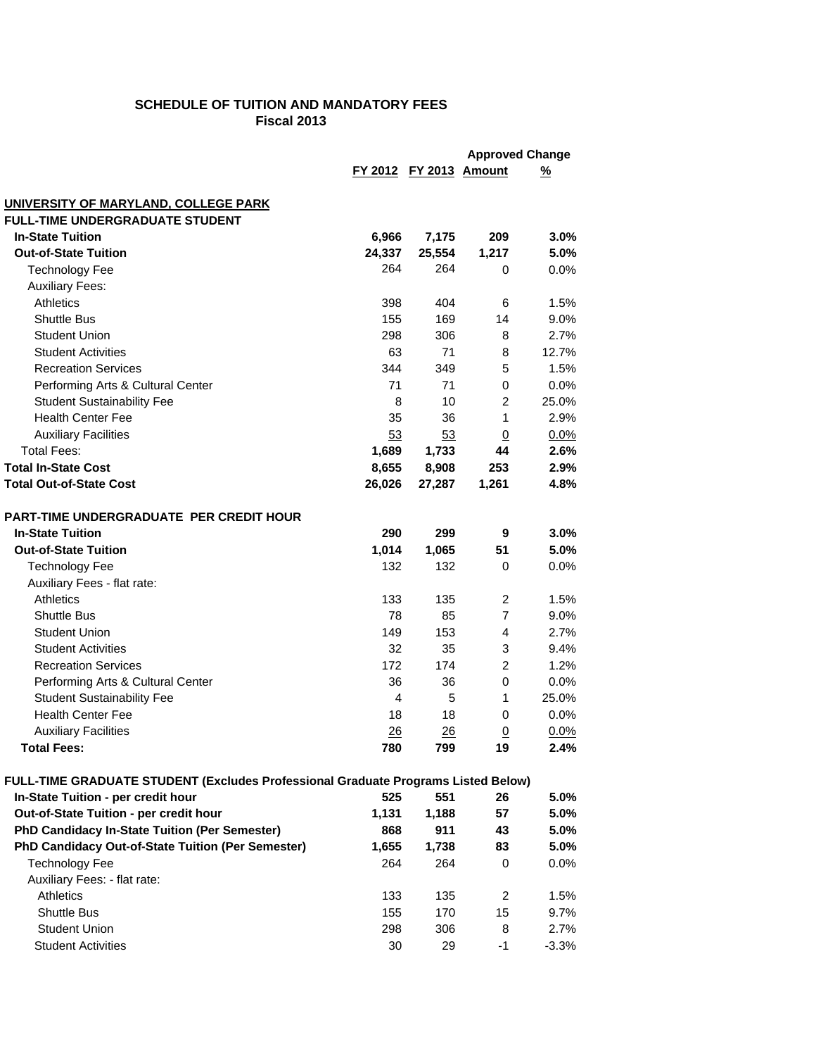# **SCHEDULE OF TUITION AND MANDATORY FEES Fiscal 2013**

|                                                                                   |                        | <b>Approved Change</b> |                |          |
|-----------------------------------------------------------------------------------|------------------------|------------------------|----------------|----------|
|                                                                                   | FY 2012 FY 2013 Amount |                        |                | <u>%</u> |
|                                                                                   |                        |                        |                |          |
| UNIVERSITY OF MARYLAND, COLLEGE PARK<br><b>FULL-TIME UNDERGRADUATE STUDENT</b>    |                        |                        |                |          |
| <b>In-State Tuition</b>                                                           | 6,966                  | 7,175                  | 209            | 3.0%     |
| <b>Out-of-State Tuition</b>                                                       | 24,337                 | 25,554                 | 1,217          | 5.0%     |
| <b>Technology Fee</b>                                                             | 264                    | 264                    | 0              | 0.0%     |
| <b>Auxiliary Fees:</b>                                                            |                        |                        |                |          |
| <b>Athletics</b>                                                                  | 398                    | 404                    | 6              | 1.5%     |
| <b>Shuttle Bus</b>                                                                | 155                    | 169                    | 14             | 9.0%     |
| <b>Student Union</b>                                                              | 298                    | 306                    | 8              | 2.7%     |
| <b>Student Activities</b>                                                         | 63                     | 71                     | 8              | 12.7%    |
| <b>Recreation Services</b>                                                        | 344                    | 349                    | 5              | 1.5%     |
| Performing Arts & Cultural Center                                                 | 71                     | 71                     | 0              | 0.0%     |
| <b>Student Sustainability Fee</b>                                                 | 8                      | 10                     | 2              | 25.0%    |
| <b>Health Center Fee</b>                                                          | 35                     | 36                     | 1              | 2.9%     |
| <b>Auxiliary Facilities</b>                                                       | 53                     | 53                     | $\overline{0}$ | 0.0%     |
| <b>Total Fees:</b>                                                                | 1,689                  | 1,733                  | 44             | 2.6%     |
| <b>Total In-State Cost</b>                                                        | 8,655                  | 8,908                  | 253            | 2.9%     |
| <b>Total Out-of-State Cost</b>                                                    | 26,026                 | 27,287                 | 1,261          | 4.8%     |
|                                                                                   |                        |                        |                |          |
| <b>PART-TIME UNDERGRADUATE PER CREDIT HOUR</b>                                    |                        |                        |                |          |
| <b>In-State Tuition</b>                                                           | 290                    | 299                    | 9              | 3.0%     |
| <b>Out-of-State Tuition</b>                                                       | 1,014                  | 1,065                  | 51             | 5.0%     |
| <b>Technology Fee</b>                                                             | 132                    | 132                    | 0              | 0.0%     |
| Auxiliary Fees - flat rate:                                                       |                        |                        |                |          |
| <b>Athletics</b>                                                                  | 133                    | 135                    | 2              | 1.5%     |
| <b>Shuttle Bus</b>                                                                | 78                     | 85                     | $\overline{7}$ | 9.0%     |
| <b>Student Union</b>                                                              | 149                    | 153                    | 4              | 2.7%     |
| <b>Student Activities</b>                                                         | 32                     | 35                     | 3              | 9.4%     |
| <b>Recreation Services</b>                                                        | 172                    | 174                    | 2              | 1.2%     |
| Performing Arts & Cultural Center                                                 | 36                     | 36                     | 0              | 0.0%     |
| <b>Student Sustainability Fee</b>                                                 | 4                      | 5                      | $\mathbf{1}$   | 25.0%    |
| <b>Health Center Fee</b>                                                          | 18                     | 18                     | 0              | 0.0%     |
| <b>Auxiliary Facilities</b>                                                       | 26                     | 26                     | $\overline{0}$ | 0.0%     |
| <b>Total Fees:</b>                                                                | 780                    | 799                    | 19             | 2.4%     |
| FULL-TIME GRADUATE STUDENT (Excludes Professional Graduate Programs Listed Below) |                        |                        |                |          |
| In-State Tuition - per credit hour                                                | 525                    | 551                    | 26             | 5.0%     |
| Out-of-State Tuition - per credit hour                                            | 1,131                  | 1,188                  | 57             | 5.0%     |
| PhD Candidacy In-State Tuition (Per Semester)                                     | 868                    | 911                    | 43             | 5.0%     |
| PhD Candidacy Out-of-State Tuition (Per Semester)                                 | 1,655                  | 1,738                  | 83             | 5.0%     |
| <b>Technology Fee</b>                                                             | 264                    | 264                    | 0              | $0.0\%$  |
| Auxiliary Fees: - flat rate:                                                      |                        |                        |                |          |
| <b>Athletics</b>                                                                  | 133                    | 135                    | 2              | 1.5%     |
| Shuttle Bus                                                                       | 155                    | 170                    | 15             | 9.7%     |
| <b>Student Union</b>                                                              | 298                    | 306                    | 8              | 2.7%     |
| <b>Student Activities</b>                                                         | 30                     | 29                     | $-1$           | $-3.3%$  |
|                                                                                   |                        |                        |                |          |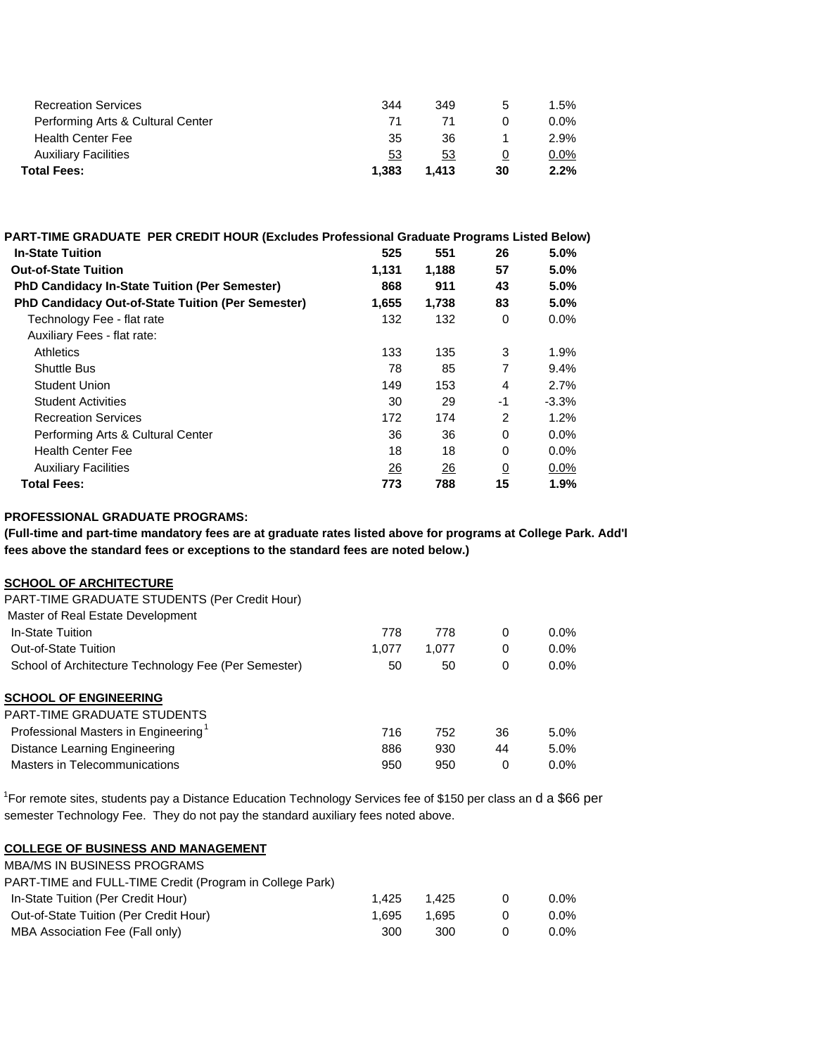| 53  | 53  | O | $0.0\%$ |
|-----|-----|---|---------|
|     |     |   |         |
| 35  | 36  |   | $2.9\%$ |
| 71  |     |   | $0.0\%$ |
| 344 | 349 | b | 1.5%    |
|     |     |   |         |

| PART-TIME GRADUATE PER CREDIT HOUR (Excludes Professional Graduate Programs Listed Below) |       |       |                |         |
|-------------------------------------------------------------------------------------------|-------|-------|----------------|---------|
| <b>In-State Tuition</b>                                                                   | 525   | 551   | 26             | 5.0%    |
| <b>Out-of-State Tuition</b>                                                               | 1,131 | 1,188 | 57             | 5.0%    |
| PhD Candidacy In-State Tuition (Per Semester)                                             | 868   | 911   | 43             | 5.0%    |
| <b>PhD Candidacy Out-of-State Tuition (Per Semester)</b>                                  | 1,655 | 1,738 | 83             | 5.0%    |
| Technology Fee - flat rate                                                                | 132   | 132   | 0              | $0.0\%$ |
| Auxiliary Fees - flat rate:                                                               |       |       |                |         |
| <b>Athletics</b>                                                                          | 133   | 135   | 3              | 1.9%    |
| Shuttle Bus                                                                               | 78    | 85    | 7              | 9.4%    |
| Student Union                                                                             | 149   | 153   | 4              | 2.7%    |
| <b>Student Activities</b>                                                                 | 30    | 29    | $-1$           | $-3.3%$ |
| <b>Recreation Services</b>                                                                | 172   | 174   | 2              | $1.2\%$ |
| Performing Arts & Cultural Center                                                         | 36    | 36    | $\Omega$       | $0.0\%$ |
| <b>Health Center Fee</b>                                                                  | 18    | 18    | 0              | $0.0\%$ |
| <b>Auxiliary Facilities</b>                                                               | 26    | 26    | $\overline{0}$ | $0.0\%$ |
| <b>Total Fees:</b>                                                                        | 773   | 788   | 15             | $1.9\%$ |

### **PROFESSIONAL GRADUATE PROGRAMS:**

**(Full-time and part-time mandatory fees are at graduate rates listed above for programs at College Park. Add'l fees above the standard fees or exceptions to the standard fees are noted below.)**

#### **SCHOOL OF ARCHITECTURE**

| 778   | 778   | 0        | $0.0\%$ |
|-------|-------|----------|---------|
| 1.077 | 1.077 | $\Omega$ | $0.0\%$ |
| 50    | 50    | 0        | $0.0\%$ |
|       |       |          |         |
|       |       |          |         |
| 716   | 752   | 36       | 5.0%    |
| 886   | 930   | 44       | 5.0%    |
| 950   | 950   | 0        | $0.0\%$ |
|       |       |          |         |

<sup>1</sup>For remote sites, students pay a Distance Education Technology Services fee of \$150 per class an d a \$66 per semester Technology Fee. They do not pay the standard auxiliary fees noted above.

### **COLLEGE OF BUSINESS AND MANAGEMENT**

| <b>MBA/MS IN BUSINESS PROGRAMS</b>                       |       |       |         |
|----------------------------------------------------------|-------|-------|---------|
| PART-TIME and FULL-TIME Credit (Program in College Park) |       |       |         |
| In-State Tuition (Per Credit Hour)                       | 1.425 | 1.425 | $0.0\%$ |
| Out-of-State Tuition (Per Credit Hour)                   | 1.695 | 1.695 | $0.0\%$ |
| MBA Association Fee (Fall only)                          | 300   | 300   | $0.0\%$ |